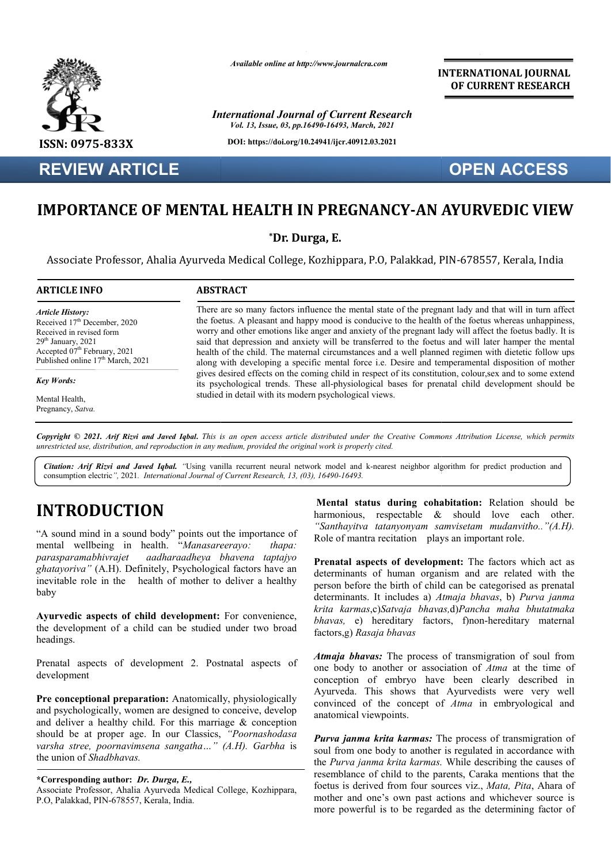

#### **INTERNATIONAL JOURNAL OF CURRENT RESEARCH**

### **OPEN ACCESS**

## **IMPORTANCE OF MENTAL HEALTH IN PREGNANCY-AN AYURVEDIC VIEW**

|                                                                                                                                                                                                          | Available online at http://www.journalcra.com                                                                                                                                                                                                                                                                                                                                                                                                                                                                                                                                                                                                | <b>INTERNATIONAL JOURNAL</b><br>OF CURRENT RESEARCH |
|----------------------------------------------------------------------------------------------------------------------------------------------------------------------------------------------------------|----------------------------------------------------------------------------------------------------------------------------------------------------------------------------------------------------------------------------------------------------------------------------------------------------------------------------------------------------------------------------------------------------------------------------------------------------------------------------------------------------------------------------------------------------------------------------------------------------------------------------------------------|-----------------------------------------------------|
|                                                                                                                                                                                                          | <b>International Journal of Current Research</b><br>Vol. 13, Issue, 03, pp.16490-16493, March, 2021                                                                                                                                                                                                                                                                                                                                                                                                                                                                                                                                          |                                                     |
| ISSN: 0975-833X                                                                                                                                                                                          | DOI: https://doi.org/10.24941/ijcr.40912.03.2021                                                                                                                                                                                                                                                                                                                                                                                                                                                                                                                                                                                             |                                                     |
| <b>REVIEW ARTICLE</b>                                                                                                                                                                                    |                                                                                                                                                                                                                                                                                                                                                                                                                                                                                                                                                                                                                                              | <b>OPEN ACCESS</b>                                  |
|                                                                                                                                                                                                          | <b>IMPORTANCE OF MENTAL HEALTH IN PREGNANCY-AN AYURVEDIC VIEW</b><br>*Dr. Durga, E.<br>Associate Professor, Ahalia Ayurveda Medical College, Kozhippara, P.O, Palakkad, PIN-678557, Kerala, India                                                                                                                                                                                                                                                                                                                                                                                                                                            |                                                     |
| <b>ARTICLE INFO</b>                                                                                                                                                                                      | <b>ABSTRACT</b>                                                                                                                                                                                                                                                                                                                                                                                                                                                                                                                                                                                                                              |                                                     |
| <b>Article History:</b><br>Received 17 <sup>th</sup> December, 2020<br>Received in revised form<br>29 <sup>th</sup> January, 2021<br>Accepted 07th February, 2021<br>Published online $17th$ March, 2021 | There are so many factors influence the mental state of the pregnant lady and that will in turn affect<br>the foetus. A pleasant and happy mood is conducive to the health of the foetus whereas unhappiness,<br>worry and other emotions like anger and anxiety of the pregnant lady will affect the foetus badly. It is<br>said that depression and anxiety will be transferred to the foetus and will later hamper the mental<br>health of the child. The maternal circumstances and a well planned regimen with dietetic follow ups<br>along with developing a specific mental force i.e. Desire and temperamental disposition of mother |                                                     |
| <b>Key Words:</b>                                                                                                                                                                                        | gives desired effects on the coming child in respect of its constitution, colour, sex and to some extend<br>its psychological trends. These all-physiological bases for prenatal child development should be                                                                                                                                                                                                                                                                                                                                                                                                                                 |                                                     |
| Mental Health,<br>Pregnancy, Satva.                                                                                                                                                                      | studied in detail with its modern psychological views.                                                                                                                                                                                                                                                                                                                                                                                                                                                                                                                                                                                       |                                                     |
|                                                                                                                                                                                                          | Copyright © 2021. Arif Rizvi and Javed Iqbal. This is an open access article distributed under the Creative Commons Attribution License, which permits<br>unrestricted use, distribution, and reproduction in any medium, provided the original work is properly cited.                                                                                                                                                                                                                                                                                                                                                                      |                                                     |
|                                                                                                                                                                                                          | Citation: Arif Rizvi and Javed Iqbal. "Using vanilla recurrent neural network model and k-nearest neighbor algorithm for predict production and<br>consumption electric", 2021. International Journal of Current Research, 13, (03), 16490-16493.                                                                                                                                                                                                                                                                                                                                                                                            |                                                     |

# **INTRODUCTION**

"A sound mind in a sound body" points out the importance of mental wellbeing in health. "*Manasareerayo: thapa: parasparamabhivrajet aadharaadheya bhavena taptajyo ghatayoriva"* (A.H). Definitely, Psychological factors have an inevitable role in the health of mother to deliver a healthy baby

**Ayurvedic aspects of child development: :** For convenience, the development of a child can be studied under two broad headings.

Prenatal aspects of development 2. Postnatal aspects of development

**Pre conceptional preparation:** Anatomically, physiologically and psychologically, women are designed to conceive, develop and deliver a healthy child. For this marriage & conception should be at proper age. In our Classics, *"Poornashodasa varsha stree, poornavimsena sangatha…" (A.H). Garbha* is the union of *Shadbhavas.*

**Mental status during cohabitation:** Relation should be harmonious, respectable  $\&$  should love each other. *"Santhayitva tatanyonyam samvisetam mudanvitho.."(A.H) mudanvitho.."(A.H).*  Role of mantra recitation plays an important role.

Prenatal aspects of development: The factors which act as determinants of human organism and are related with the person before the birth of child can be categorised as prenatal determinants. It includes a) *Atmaja bhavas krita karmas*,c)*Satvaja bhavas, bhavas,*d)*Pancha maha bhutatmaka*  bhavas, e) hereditary factors, f)non-hereditary maternal factors,g) *Rasaja bhavas* human organism and are related with the birth of child can be categorised as prenatal includes a) *Atmaja bhavas*, b) *Purva janma* 

*Atmaja bhavas:* The process of transmigration of soul from Atmaja bhavas: The process of transmigration of soul from one body to another or association of *Atma* at the time of conception of embryo have been clearly described in conception of embryo have been clearly described in Ayurveda. This shows that Ayurvedists were very well convinced of the concept of *Atma* in embryological and anatomical viewpoints.

*Purva janma krita karmas:* The process of transmigration of **Purva janma krita karmas:** The process of transmigration of soul from one body to another is regulated in accordance with the *Purva janma krita karmas.* While describing the causes of resemblance of child to the parents, Caraka mentions that the resemblance of child to the parents, Caraka mentions that the foetus is derived from four sources viz., *Mata, Pita*, Ahara of mother and one's own past actions and whichever source is mother and one's own past actions and whichever source is<br>more powerful is to be regarded as the determining factor of

**<sup>\*</sup>Corresponding author:** *Dr. Durga, E.,*

Associate Professor, Ahalia Ayurveda Medical College, Kozhippara, P.O, Palakkad, PIN-678557, Kerala, India.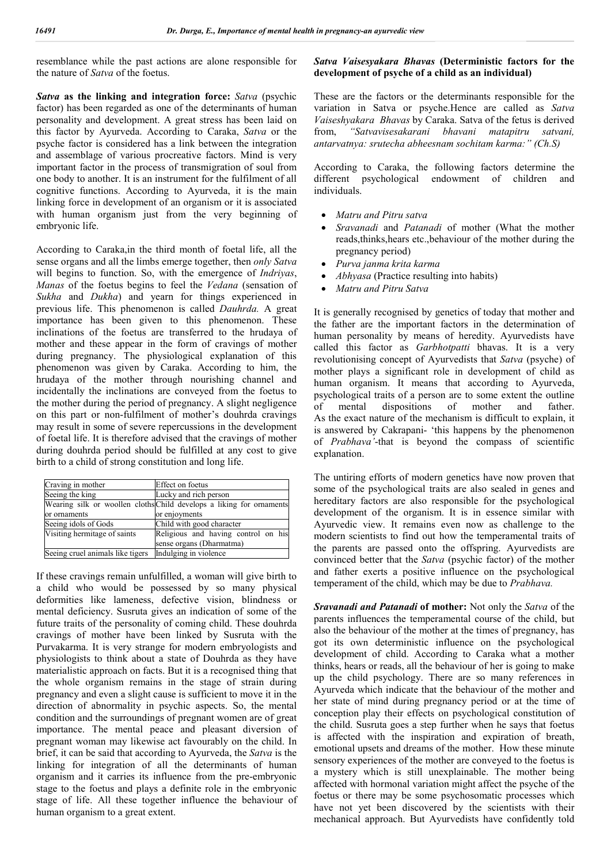resemblance while the past actions are alone responsible for the nature of *Satva* of the foetus.

*Satva* **as the linking and integration force:** *Satva* (psychic factor) has been regarded as one of the determinants of human personality and development. A great stress has been laid on this factor by Ayurveda. According to Caraka, *Satva* or the psyche factor is considered has a link between the integration and assemblage of various procreative factors. Mind is very important factor in the process of transmigration of soul from one body to another. It is an instrument for the fulfilment of all cognitive functions. According to Ayurveda, it is the main linking force in development of an organism or it is associated with human organism just from the very beginning of embryonic life.

According to Caraka,in the third month of foetal life, all the sense organs and all the limbs emerge together, then *only Satva* will begins to function. So, with the emergence of *Indriyas*, *Manas* of the foetus begins to feel the *Vedana* (sensation of *Sukha* and *Dukha*) and yearn for things experienced in previous life. This phenomenon is called *Dauhrda.* A great importance has been given to this phenomenon. These inclinations of the foetus are transferred to the hrudaya of mother and these appear in the form of cravings of mother during pregnancy. The physiological explanation of this phenomenon was given by Caraka. According to him, the hrudaya of the mother through nourishing channel and incidentally the inclinations are conveyed from the foetus to the mother during the period of pregnancy. A slight negligence on this part or non-fulfilment of mother's douhrda cravings may result in some of severe repercussions in the development of foetal life. It is therefore advised that the cravings of mother during douhrda period should be fulfilled at any cost to give birth to a child of strong constitution and long life.

| Craving in mother                | Effect on foetus                                                     |  |
|----------------------------------|----------------------------------------------------------------------|--|
| Seeing the king                  | Lucky and rich person                                                |  |
|                                  | Wearing silk or woollen cloths Child develops a liking for ornaments |  |
| or ornaments                     | or enjoyments                                                        |  |
| Seeing idols of Gods             | Child with good character                                            |  |
| Visiting hermitage of saints     | Religious and having control on his<br>sense organs (Dharmatma)      |  |
| Seeing cruel animals like tigers | Indulging in violence                                                |  |

If these cravings remain unfulfilled, a woman will give birth to a child who would be possessed by so many physical deformities like lameness, defective vision, blindness or mental deficiency. Susruta gives an indication of some of the future traits of the personality of coming child. These douhrda cravings of mother have been linked by Susruta with the Purvakarma. It is very strange for modern embryologists and physiologists to think about a state of Douhrda as they have materialistic approach on facts. But it is a recognised thing that the whole organism remains in the stage of strain during pregnancy and even a slight cause is sufficient to move it in the direction of abnormality in psychic aspects. So, the mental condition and the surroundings of pregnant women are of great importance. The mental peace and pleasant diversion of pregnant woman may likewise act favourably on the child. In brief, it can be said that according to Ayurveda, the *Satva* is the linking for integration of all the determinants of human organism and it carries its influence from the pre-embryonic stage to the foetus and plays a definite role in the embryonic stage of life. All these together influence the behaviour of human organism to a great extent.

#### *Satva Vaisesyakara Bhavas* **(Deterministic factors for the development of psyche of a child as an individual)**

These are the factors or the determinants responsible for the variation in Satva or psyche.Hence are called as *Satva Vaiseshyakara Bhavas* by Caraka. Satva of the fetus is derived from, *"Satvavisesakarani bhavani matapitru satvani, antarvatnya: srutecha abheesnam sochitam karma:" (Ch.S)*

According to Caraka, the following factors determine the different psychological endowment of children and individuals.

- *Matru and Pitru satva*
- *Sravanadi* and *Patanadi* of mother (What the mother reads,thinks,hears etc.,behaviour of the mother during the pregnancy period)
- *Purva janma krita karma*
- *Abhyasa* (Practice resulting into habits)
- *Matru and Pitru Satva*

It is generally recognised by genetics of today that mother and the father are the important factors in the determination of human personality by means of heredity. Ayurvedists have called this factor as *Garbhotpatti* bhavas. It is a very revolutionising concept of Ayurvedists that *Satva* (psyche) of mother plays a significant role in development of child as human organism. It means that according to Ayurveda, psychological traits of a person are to some extent the outline of mental dispositions of mother and father. As the exact nature of the mechanism is difficult to explain, it is answered by Cakrapani- 'this happens by the phenomenon of *Prabhava'*-that is beyond the compass of scientific explanation.

The untiring efforts of modern genetics have now proven that some of the psychological traits are also sealed in genes and hereditary factors are also responsible for the psychological development of the organism. It is in essence similar with Ayurvedic view. It remains even now as challenge to the modern scientists to find out how the temperamental traits of the parents are passed onto the offspring. Ayurvedists are convinced better that the *Satva* (psychic factor) of the mother and father exerts a positive influence on the psychological temperament of the child, which may be due to *Prabhava.*

*Sravanadi and Patanadi* **of mother:** Not only the *Satva* of the parents influences the temperamental course of the child, but also the behaviour of the mother at the times of pregnancy, has got its own deterministic influence on the psychological development of child. According to Caraka what a mother thinks, hears or reads, all the behaviour of her is going to make up the child psychology. There are so many references in Ayurveda which indicate that the behaviour of the mother and her state of mind during pregnancy period or at the time of conception play their effects on psychological constitution of the child. Susruta goes a step further when he says that foetus is affected with the inspiration and expiration of breath, emotional upsets and dreams of the mother. How these minute sensory experiences of the mother are conveyed to the foetus is a mystery which is still unexplainable. The mother being affected with hormonal variation might affect the psyche of the foetus or there may be some psychosomatic processes which have not yet been discovered by the scientists with their mechanical approach. But Ayurvedists have confidently told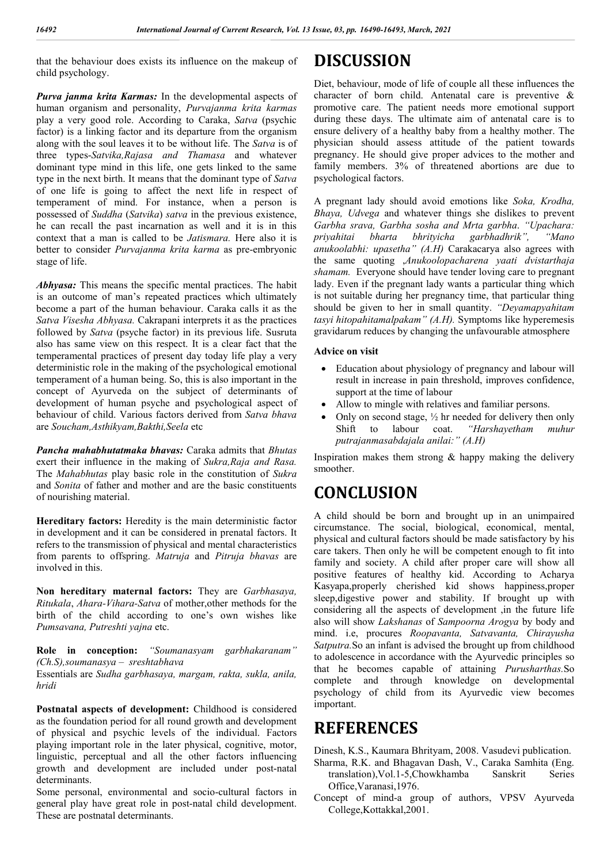that the behaviour does exists its influence on the makeup of child psychology.

*Purva janma krita Karmas:* In the developmental aspects of human organism and personality, *Purvajanma krita karmas* play a very good role. According to Caraka, *Satva* (psychic factor) is a linking factor and its departure from the organism along with the soul leaves it to be without life. The *Satva* is of three types-*Satvika,Rajasa and Thamasa* and whatever dominant type mind in this life, one gets linked to the same type in the next birth. It means that the dominant type of *Satva* of one life is going to affect the next life in respect of temperament of mind. For instance, when a person is possessed of *Suddha* (*Satvika*) *satva* in the previous existence, he can recall the past incarnation as well and it is in this context that a man is called to be *Jatismara.* Here also it is better to consider *Purvajanma krita karma* as pre-embryonic stage of life.

*Abhyasa:* This means the specific mental practices. The habit is an outcome of man's repeated practices which ultimately become a part of the human behaviour. Caraka calls it as the *Satva Visesha Abhyasa.* Cakrapani interprets it as the practices followed by *Satva* (psyche factor) in its previous life. Susruta also has same view on this respect. It is a clear fact that the temperamental practices of present day today life play a very deterministic role in the making of the psychological emotional temperament of a human being. So, this is also important in the concept of Ayurveda on the subject of determinants of development of human psyche and psychological aspect of behaviour of child. Various factors derived from *Satva bhava*  are *Soucham,Asthikyam,Bakthi,Seela* etc

*Pancha mahabhutatmaka bhavas:* Caraka admits that *Bhutas* exert their influence in the making of *Sukra,Raja and Rasa.* The *Mahabhutas* play basic role in the constitution of *Sukra* and *Sonita* of father and mother and are the basic constituents of nourishing material.

**Hereditary factors:** Heredity is the main deterministic factor in development and it can be considered in prenatal factors. It refers to the transmission of physical and mental characteristics from parents to offspring. *Matruja* and *Pitruja bhavas* are involved in this.

**Non hereditary maternal factors:** They are *Garbhasaya, Ritukala*, *Ahara-Vihara-Satva* of mother,other methods for the birth of the child according to one's own wishes like *Pumsavana, Putreshti yajna* etc.

**Role in conception:** *"Soumanasyam garbhakaranam" (Ch.S),soumanasya – sreshtabhava* 

Essentials are *Sudha garbhasaya, margam, rakta, sukla, anila, hridi*

**Postnatal aspects of development:** Childhood is considered as the foundation period for all round growth and development of physical and psychic levels of the individual. Factors playing important role in the later physical, cognitive, motor, linguistic, perceptual and all the other factors influencing growth and development are included under post-natal determinants.

Some personal, environmental and socio-cultural factors in general play have great role in post-natal child development. These are postnatal determinants.

# **DISCUSSION**

Diet, behaviour, mode of life of couple all these influences the character of born child. Antenatal care is preventive & promotive care. The patient needs more emotional support during these days. The ultimate aim of antenatal care is to ensure delivery of a healthy baby from a healthy mother. The physician should assess attitude of the patient towards pregnancy. He should give proper advices to the mother and family members. 3% of threatened abortions are due to psychological factors.

A pregnant lady should avoid emotions like *Soka, Krodha, Bhaya, Udvega* and whatever things she dislikes to prevent *Garbha srava, Garbha sosha and Mrta garbha*. *"Upachara: priyahitai bharta bhrityicha garbhadhrik", "Mano anukoolabhi: upasetha" (A.H)* Carakacarya also agrees with the same quoting ,*Anukoolopacharena yaati dvistarthaja shamam.* Everyone should have tender loving care to pregnant lady. Even if the pregnant lady wants a particular thing which is not suitable during her pregnancy time, that particular thing should be given to her in small quantity. *"Deyamapyahitam tasyi hitopahitamalpakam" (A.H).* Symptoms like hyperemesis gravidarum reduces by changing the unfavourable atmosphere

#### **Advice on visit**

- Education about physiology of pregnancy and labour will result in increase in pain threshold, improves confidence, support at the time of labour
- Allow to mingle with relatives and familiar persons.
- Only on second stage,  $\frac{1}{2}$  hr needed for delivery then only Shift to labour coat. *"Harshayetham muhur putrajanmasabdajala anilai:" (A.H)*

Inspiration makes them strong  $\&$  happy making the delivery smoother.

## **CONCLUSION**

A child should be born and brought up in an unimpaired circumstance. The social, biological, economical, mental, physical and cultural factors should be made satisfactory by his care takers. Then only he will be competent enough to fit into family and society. A child after proper care will show all positive features of healthy kid. According to Acharya Kasyapa,properly cherished kid shows happiness,proper sleep,digestive power and stability. If brought up with considering all the aspects of development ,in the future life also will show *Lakshanas* of *Sampoorna Arogya* by body and mind. i.e, procures *Roopavanta, Satvavanta, Chirayusha Satputra.*So an infant is advised the brought up from childhood to adolescence in accordance with the Ayurvedic principles so that he becomes capable of attaining *Purusharthas.*So complete and through knowledge on developmental psychology of child from its Ayurvedic view becomes important.

## **REFERENCES**

Dinesh, K.S., Kaumara Bhrityam, 2008. Vasudevi publication.

- Sharma, R.K. and Bhagavan Dash, V., Caraka Samhita (Eng. translation),Vol.1-5,Chowkhamba Sanskrit Series Office,Varanasi,1976.
- Concept of mind-a group of authors, VPSV Ayurveda College,Kottakkal,2001.